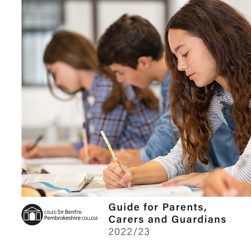



Guide for Parents, Carers and Guardians 2022/23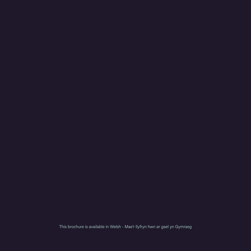This brochure is available in Welsh - Mae'r llyfryn hwn ar gael yn Gymraeg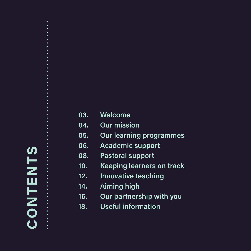# CONTENTS CONTENTS

04. Our mission 05. Our learning programmes 06. Academic support 08. Pastoral support 10. Keeping learners on track

03. Welcome

- 12. Innovative teaching
- 14. Aiming high
- 16. Our partnership with you
- 18. Useful information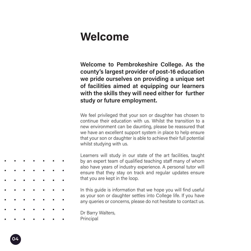## Welcome

Welcome to Pembrokeshire College. As the county's largest provider of post-16 education we pride ourselves on providing a unique set of facilities aimed at equipping our learners with the skills they will need either for further study or future employment.

We feel privileged that your son or daughter has chosen to continue their education with us. Whilst the transition to a new environment can be daunting, please be reassured that we have an excellent support system in place to help ensure that your son or daughter is able to achieve their full potential whilst studying with us.

Learners will study in our state of the art facilities, taught by an expert team of qualified teaching staff many of whom also have years of industry experience. A personal tutor will ensure that they stay on track and regular updates ensure that you are kept in the loop.

In this guide is information that we hope you will find useful as your son or daughter settles into College life. If you have any queries or concerns, please do not hesitate to contact us.

Dr Barry Walters, Principal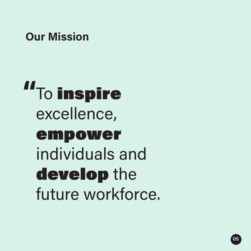# Our Mission

To inspire excellence, empower individuals and develop the future workforce. **"**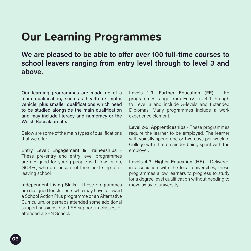# Our Learning Programmes

We are pleased to be able to offer over 100 full-time courses to school leavers ranging from entry level through to level 3 and above.

Our learning programmes are made up of a main qualification, such as health or motor vehicle, plus smaller qualifications which need to be studied alongside the main qualification and may include literacy and numeracy or the Welsh Baccalaureate.

Below are some of the main types of qualifications that we offer

Entry Level: Engagement & Traineeships - These pre-entry and entry level programmes are designed for young people with few, or no, GCSEs, who are unsure of their next step after leaving school.

Independent Living Skills - These programmes are designed for students who may have followed a School Action Plus programme or an Alternative Curriculum, or perhaps attended some additional support sessions, had LSA support in classes, or attended a SEN School.

Levels 1-3: Further Education (FE) - FE programmes range from Entry Level 1 through to Level 3 and include A-levels and Extended Diplomas. Many programmes include a work experience element.

Level 2-3: Apprenticeships - These programmes require the learner to be employed. The learner will typically spend one or two days per week in College with the remainder being spent with the employer.

Levels 4-7: Higher Education (HE) - Delivered in association with the local universities, these programmes allow learners to progress to study for a degree level qualification without needing to move away to university.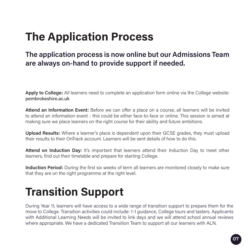# The Application Process

## The application process is now online but our Admissions Team are always on-hand to provide support if needed.

Apply to College: All learners need to complete an application form online via the College website: pembrokeshire.ac.uk

Attend an Information Event: Before we can offer a place on a course, all learners will be invited to attend an information event - this could be either face-to-face or online. This session is aimed at making sure we place learners on the right course for their ability and future ambitions.

Upload Results: Where a learner's place is dependent upon their GCSE grades, they must upload their results to their OnTrack account. Learners will be sent details of how to do this.

Attend on Induction Day: It's important that learners attend their Induction Day to meet other learners, find out their timetable and prepare for starting College.

Induction Period: During the first six weeks of term all learners are monitored closely to make sure that they are on the right programme at the right level.

# Transition Support

During Year 11, learners will have access to a wide range of transition support to prepare them for the move to College. Transition activities could include: 1-1 guidance, College tours and tasters. Applicants with Additional Learning Needs will be invited to link days and we will attend school annual reviews where appropriate. We have a dedicated Transition Team to support all our learners with ALN.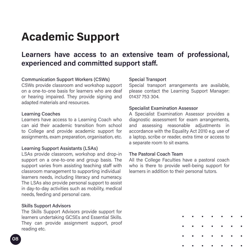# Academic Support

## Learners have access to an extensive team of professional, experienced and committed support staff.

## Communication Support Workers (CSWs)

CSWs provide classroom and workshop support on a one-to-one basis for learners who are deaf or hearing impaired. They provide signing and adapted materials and resources.

## Learning Coaches

Learners have access to a Learning Coach who can aid their academic transition from school to College and provide academic support for assignments, exam preparation, organisation, etc.

## Learning Support Assistants (LSAs)

LSAs provide classroom, workshop and drop-in support on a one-to-one and group basis. The support varies from assisting teaching staff with classroom management to supporting individual learners needs, including literacy and numeracy. The LSAs also provide personal support to assist in day-to-day activities such as mobility, medical needs, feeding and personal care.

## Skills Support Advisors

The Skills Support Advisors provide support for learners undertaking GCSEs and Essential Skills. They can provide assignment support, proof reading etc.

## Special Transport

Special transport arrangements are available, please contact the Learning Support Manager: 01437 753 304.

## Specialist Examination Assessor

A Specialist Examination Assessor provides a diagnostic assessment for exam arrangements, and assessing reasonable adjustments in accordance with the Equality Act 2010 e.g. use of a laptop, scribe or reader, extra time or access to a separate room to sit exams.

## The Pastoral Coach Team

All the College Faculties have a pastoral coach who is there to provide well-being support for learners in addition to their personal tutors.

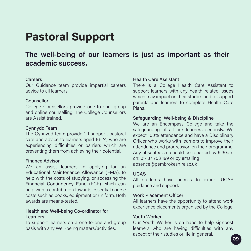# Pastoral Support

## The well-being of our learners is just as important as their academic success.

## **Careers**

Our Guidance team provide impartial careers advice to all learners.

## Counsellor

College Counsellors provide one-to-one, group and online counselling. The College Counsellors are Assist trained.

## Cynnydd Team

The Cynnydd team provide 1-1 support, pastoral care and advice to learners aged 16-24, who are experiencing difficulties or barriers which are preventing them from achieving their potential.

## Finance Advisor

We an assist learners in applying for an Educational Maintenance Allowance (EMA), to help with the costs of studying, or accessing the Financial Contingency Fund (FCF) which can help with a contribution towards essential course costs such as books, equipment or uniform. Both awards are means-tested.

## Health and Well-being Co-ordinator for Learners

To support learners on a one-to-one and group basis with any Well-being matters/activities.

#### Health Care Assistant

There is a College Health Care Assistant to support learners with any health related issues which may impact on their studies and to support parents and learners to complete Health Care Plans.

## Safeguarding, Well-being & Discipline

We are an Encompass College and take the safeguarding of all our learners seriously. We expect 100% attendance and have a Disciplinary Officer who works with learners to improve their attendance and progression on their programme. Any absenteeism should be reported by 9:30am on: 01437 753 199 or by emailing: absence@pembrokeshire.ac.uk

#### UCAS

All students have access to expert UCAS guidance and support.

#### Work Placement Officer

All learners have the opportunity to attend work experience placements organised by the College.

## Youth Worker

Our Youth Worker is on hand to help signpost learners who are having difficulties with any aspect of their studies or life in general.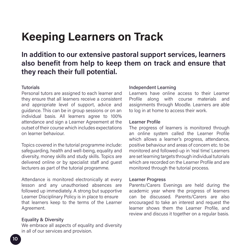# Keeping Learners on Track

## In addition to our extensive pastoral support services, learners also benefit from help to keep them on track and ensure that they reach their full potential.

## Tutorials

Personal tutors are assigned to each learner and they ensure that all learners receive a consistent and appropriate level of support, advice and guidance. This can be in group sessions or on an individual basis. All learners agree to 100% attendance and sign a Learner Agreement at the outset of their course which includes expectations on learner behaviour.

Topics covered in the tutorial programme include: safeguarding, health and well-being, equality and diversity, money skills and study skills. Topics are delivered online or by specialist staff and guest lecturers as part of the tutorial programme.

Attendance is monitored electronically at every lesson and any unauthorised absences are followed up immediately. A strong but supportive Learner Disciplinary Policy is in place to ensure that learners keep to the terms of the Learner Agreement.

## Equality & Diversity

We embrace all aspects of equality and diversity in all of our services and provision.

## Independent Learning

Learners have online access to their Learner Profile along with course materials and assignments through Moodle. Learners are able to log in at home to access their work.

## Learner Profile

The progress of learners is monitored through an online system called the Learner Profile which allows a learner's progress, attendance, positive behaviour and areas of concern etc. to be monitored and followed-up in 'real time'. Learners are set learning targets through individual tutorials which are recorded on the Learner Profile and are monitored through the tutorial process.

#### Learner Progress

Parents/Carers Evenings are held during the academic year where the progress of learners can be discussed. Parents/Carers are also encouraged to take an interest and request the learner shows them the Learner Profile, and review and discuss it together on a regular basis.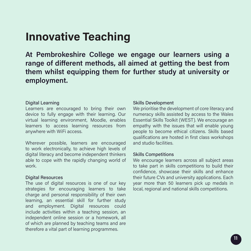# Innovative Teaching

At Pembrokeshire College we engage our learners using a range of different methods, all aimed at getting the best from them whilst equipping them for further study at university or employment.

## Digital Learning

Learners are encouraged to bring their own device to fully engage with their learning. Our virtual learning environment, Moodle, enables learners to access learning resources from anywhere with WiFi access.

Wherever possible, learners are encouraged to work electronically, to achieve high levels of digital literacy and become independent thinkers able to cope with the rapidly changing world of work.

## Digital Resources

The use of digital resources is one of our key strategies for encouraging learners to take charge and personal responsibility of their own learning, an essential skill for further study and employment. Digital resources could include activities within a teaching session, an independent online session or a homework, all of which are planned by teaching teams and are therefore a vital part of learning programmes.

## Skills Development

We prioritise the development of core literacy and numeracy skills assisted by access to the Wales Essential Skills Toolkit (WEST). We encourage an empathy with the issues that will enable young people to become ethical citizens. Skills based qualifications are hosted in first class workshops and studio facilities.

## Skills Competitions

We encourage learners across all subject areas to take part in skills competitions to build their confidence, showcase their skills and enhance their future CVs and university applications. Each year more than 50 learners pick up medals in local, regional and national skills competitions.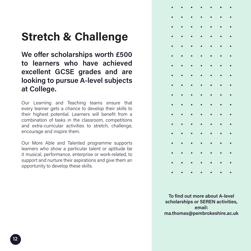# Stretch & Challenge

We offer scholarships worth £500 to learners who have achieved excellent GCSE grades and are looking to pursue A-level subjects at College.

Our Learning and Teaching teams ensure that every learner gets a chance to develop their skills to their highest potential. Learners will benefit from a combination of tasks in the classroom, competitions and extra-curricular activities to stretch, challenge, encourage and inspire them.

Our More Able and Talented programme supports learners who show a particular talent or aptitude be it musical, performance, enterprise or work-related, to support and nurture their aspirations and give them an opportunity to develop these skills.



To find out more about A-level scholarships or SEREN activities, email: ma.thomas@pembrokeshire.ac.uk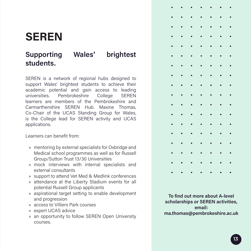# **SEREN**

## Supporting Wales' brightest students.

SEREN is a network of regional hubs designed to support Wales' brightest students to achieve their academic potential and gain access to leading universities. Pembrokeshire College SEREN learners are members of the Pembrokeshire and Carmarthenshire SEREN Hub. Maxine Thomas, Co-Chair of the UCAS Standing Group for Wales, is the College lead for SEREN activity and UCAS applications.

Learners can benefit from:

- » mentoring by external specialists for Oxbridge and Medical school programmes as well as for Russell Group/Sutton Trust 13/30 Universities
- » mock interviews with internal specialists and external consultants
- » support to attend Vet Med & Medlink conferences
- » attendance at the Liberty Stadium events for all potential Russell Group applicants
- » aspirational target setting to enable development and progression
- » access to Villiers Park courses
- » expert UCAS advice
- » an opportunity to follow SEREN Open University courses.



To find out more about A-level scholarships or SEREN activities, email: ma.thomas@pembrokeshire.ac.uk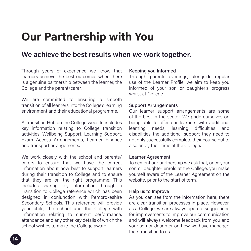# Our Partnership with You

## We achieve the best results when we work together.

Through years of experience we know that learners achieve the best outcomes when there is a genuine partnership between the learner, the College and the parent/carer.

We are committed to ensuring a smooth transition of all learners into the College's learning environment and their educational programme.

A Transition Hub on the College website includes key information relating to College transition activities, Wellbeing Support, Learning Support, Exam Access Arrangements, Learner Finance and transport arrangements.

We work closely with the school and parents/ carers to ensure that we have the correct information about how best to support learners during their transition to College and to ensure that they are on the right programme. This includes sharing key information through a Transition to College reference which has been designed in conjunction with Pembrokeshire Secondary Schools. This reference will provide your child, the school and the College with information relating to current performance, attendance and any other key details of which the school wishes to make the College aware.

## Keeping you Informed

Through parents evenings, alongside regular use of the Learner Profile, we aim to keep you informed of your son or daughter's progress whilst at College.

## Support Arrangements

Our learner support arrangements are some of the best in the sector. We pride ourselves on being able to offer our learners with additional learning needs, learning difficulties and disabilities the additional support they need to not only successfully complete their course but to also enjoy their time at the College.

## Learner Agreement

To cement our partnership we ask that, once your son or daughter enrols at the College, you make yourself aware of the Learner Agreement on the website, prior to the start of term.

## Help us to Improve

As you can see from the information here, there are clear transition processes in place. However, as a College, we are always open to suggestions for improvements to improve our communication and will always welcome feedback from you and your son or daughter on how we have managed their transition to us.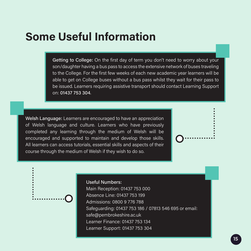# Some Useful Information

Getting to College: On the first day of term you don't need to worry about your son/daughter having a bus pass to access the extensive network of buses traveling to the College. For the first few weeks of each new academic year learners will be able to get on College buses without a bus pass whilst they wait for their pass to be issued. Learners requiring assistive transport should contact Learning Support on: 01437 753 304.

Welsh Language: Learners are encouraged to have an appreciation of Welsh language and culture. Learners who have previously completed any learning through the medium of Welsh will be encouraged and supported to maintain and develop those skills. All learners can access tutorials, essential skills and aspects of their course through the medium of Welsh if they wish to do so.

## Useful Numbers:

Main Reception: 01437 753 000 Absence Line: 01437 753 199 Admissions: 0800 9 776 788 Safeguarding: 01437 753 186 / 07813 546 695 or email: safe@pembrokeshire.ac.uk Learner Finance: 01437 753 134 Learner Support: 01437 753 304